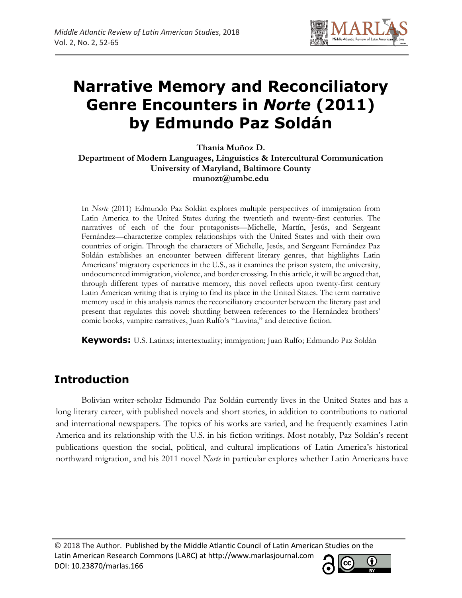

# **Narrative Memory and Reconciliatory Genre Encounters in** *Norte* **(2011) by Edmundo Paz Soldán**

**Thania Muñoz D. Department of Modern Languages, Linguistics & Intercultural Communication University of Maryland, Baltimore County munozt@umbc.edu**

In *Norte* (2011) Edmundo Paz Soldán explores multiple perspectives of immigration from Latin America to the United States during the twentieth and twenty-first centuries. The narratives of each of the four protagonists—Michelle, Martín, Jesús, and Sergeant Fernández—characterize complex relationships with the United States and with their own countries of origin. Through the characters of Michelle, Jesús, and Sergeant Fernández Paz Soldán establishes an encounter between different literary genres, that highlights Latin Americans' migratory experiences in the U.S., as it examines the prison system, the university, undocumented immigration, violence, and border crossing. In this article, it will be argued that, through different types of narrative memory, this novel reflects upon twenty-first century Latin American writing that is trying to find its place in the United States. The term narrative memory used in this analysis names the reconciliatory encounter between the literary past and present that regulates this novel: shuttling between references to the Hernández brothers' comic books, vampire narratives, Juan Rulfo's "Luvina," and detective fiction.

**Keywords:** U.S. Latinxs; intertextuality; immigration; Juan Rulfo; Edmundo Paz Soldán

# **Introduction**

Bolivian writer-scholar Edmundo Paz Soldán currently lives in the United States and has a long literary career, with published novels and short stories, in addition to contributions to national and international newspapers. The topics of his works are varied, and he frequently examines Latin America and its relationship with the U.S. in his fiction writings. Most notably, Paz Soldán's recent publications question the social, political, and cultural implications of Latin America's historical northward migration, and his 2011 novel *Norte* in particular explores whether Latin Americans have

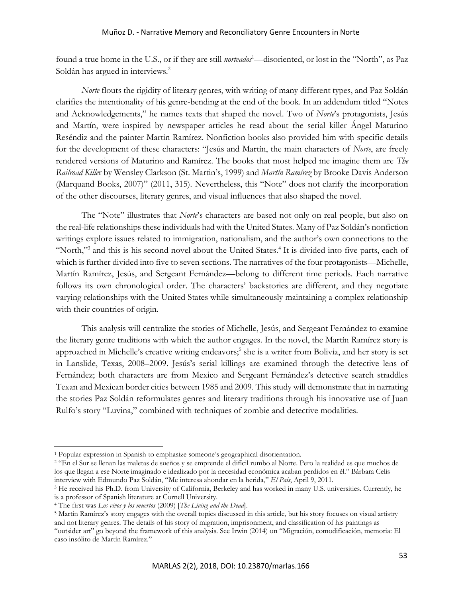found a true home in the U.S., or if they are still *norteados*<sup>1</sup>—disoriented, or lost in the "North", as Paz Soldán has argued in interviews.<sup>2</sup>

*Norte* flouts the rigidity of literary genres, with writing of many different types, and Paz Soldán clarifies the intentionality of his genre-bending at the end of the book. In an addendum titled "Notes and Acknowledgements," he names texts that shaped the novel. Two of *Norte*'s protagonists, Jesús and Martín, were inspired by newspaper articles he read about the serial killer Ángel Maturino Reséndiz and the painter Martín Ramírez. Nonfiction books also provided him with specific details for the development of these characters: "Jesús and Martín, the main characters of *Norte*, are freely rendered versions of Maturino and Ramírez. The books that most helped me imagine them are *The Railroad Kille*r by Wensley Clarkson (St. Martin's, 1999) and *Martín Ramírez* by Brooke Davis Anderson (Marquand Books, 2007)" (2011, 315)*.* Nevertheless, this "Note" does not clarify the incorporation of the other discourses, literary genres, and visual influences that also shaped the novel.

The "Note" illustrates that *Norte*'s characters are based not only on real people, but also on the real-life relationships these individuals had with the United States. Many of Paz Soldán's nonfiction writings explore issues related to immigration, nationalism, and the author's own connections to the "North,"<sup>3</sup> and this is his second novel about the United States.<sup>4</sup> It is divided into five parts, each of which is further divided into five to seven sections. The narratives of the four protagonists—Michelle, Martín Ramírez, Jesús, and Sergeant Fernández—belong to different time periods. Each narrative follows its own chronological order. The characters' backstories are different, and they negotiate varying relationships with the United States while simultaneously maintaining a complex relationship with their countries of origin.

This analysis will centralize the stories of Michelle, Jesús, and Sergeant Fernández to examine the literary genre traditions with which the author engages. In the novel, the Martín Ramírez story is approached in Michelle's creative writing endeavors;<sup>5</sup> she is a writer from Bolivia, and her story is set in Lanslide, Texas, 2008–2009. Jesús's serial killings are examined through the detective lens of Fernández; both characters are from Mexico and Sergeant Fernández's detective search straddles Texan and Mexican border cities between 1985 and 2009. This study will demonstrate that in narrating the stories Paz Soldán reformulates genres and literary traditions through his innovative use of Juan Rulfo's story "Luvina," combined with techniques of zombie and detective modalities.

<sup>1</sup> Popular expression in Spanish to emphasize someone's geographical disorientation.

<sup>2</sup> "En el Sur se llenan las maletas de sueños y se emprende el difícil rumbo al Norte. Pero la realidad es que muchos de los que llegan a ese Norte imaginado e idealizado por la necesidad económica acaban perdidos en él." Bárbara Celis interview with Edmundo Paz Soldán, "[Me interesa ahondar en la herida](http://elpais.com/diario/2011/04/09/babelia/1302307938_850215.html)," *El País*, April 9, 2011.

<sup>3</sup> He received his Ph.D. from University of California, Berkeley and has worked in many U.S. universities. Currently, he is a professor of Spanish literature at Cornell University.

<sup>4</sup> The first was *Los vivos y los muertos* (2009) [*The Living and the Dead*].

<sup>5</sup> Martin Ramírez's story engages with the overall topics discussed in this article, but his story focuses on visual artistry and not literary genres. The details of his story of migration, imprisonment, and classification of his paintings as "outsider art" go beyond the framework of this analysis. See Irwin (2014) on "Migración, comodificación, memoria: El caso insólito de Martín Ramírez."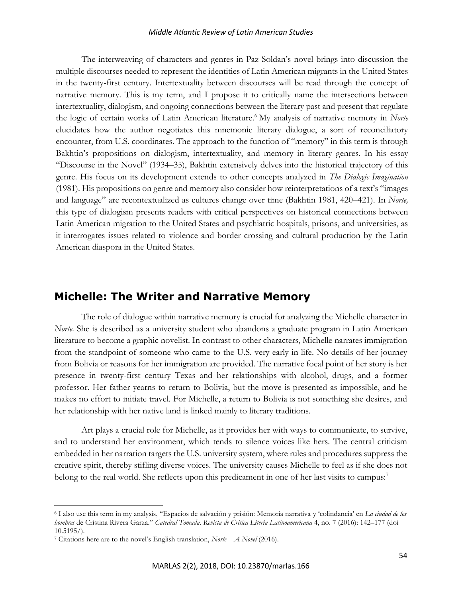The interweaving of characters and genres in Paz Soldan's novel brings into discussion the multiple discourses needed to represent the identities of Latin American migrants in the United States in the twenty-first century. Intertextuality between discourses will be read through the concept of narrative memory. This is my term, and I propose it to critically name the intersections between intertextuality, dialogism, and ongoing connections between the literary past and present that regulate the logic of certain works of Latin American literature.<sup>6</sup> My analysis of narrative memory in *Norte* elucidates how the author negotiates this mnemonic literary dialogue, a sort of reconciliatory encounter, from U.S. coordinates. The approach to the function of "memory" in this term is through Bakhtin's propositions on dialogism, intertextuality, and memory in literary genres. In his essay "Discourse in the Novel" (1934–35), Bakhtin extensively delves into the historical trajectory of this genre. His focus on its development extends to other concepts analyzed in *The Dialogic Imagination*  (1981). His propositions on genre and memory also consider how reinterpretations of a text's "images and language" are recontextualized as cultures change over time (Bakhtin 1981, 420–421). In *Norte,*  this type of dialogism presents readers with critical perspectives on historical connections between Latin American migration to the United States and psychiatric hospitals, prisons, and universities, as it interrogates issues related to violence and border crossing and cultural production by the Latin American diaspora in the United States.

### **Michelle: The Writer and Narrative Memory**

The role of dialogue within narrative memory is crucial for analyzing the Michelle character in *Norte*. She is described as a university student who abandons a graduate program in Latin American literature to become a graphic novelist. In contrast to other characters, Michelle narrates immigration from the standpoint of someone who came to the U.S. very early in life. No details of her journey from Bolivia or reasons for her immigration are provided. The narrative focal point of her story is her presence in twenty-first century Texas and her relationships with alcohol, drugs, and a former professor. Her father yearns to return to Bolivia, but the move is presented as impossible, and he makes no effort to initiate travel. For Michelle, a return to Bolivia is not something she desires, and her relationship with her native land is linked mainly to literary traditions.

Art plays a crucial role for Michelle, as it provides her with ways to communicate, to survive, and to understand her environment, which tends to silence voices like hers. The central criticism embedded in her narration targets the U.S. university system, where rules and procedures suppress the creative spirit, thereby stifling diverse voices. The university causes Michelle to feel as if she does not belong to the real world. She reflects upon this predicament in one of her last visits to campus:<sup>7</sup>

<sup>6</sup> I also use this term in my analysis, "Espacios de salvación y prisión: Memoria narrativa y 'colindancia' en *La ciudad de los hombres* de Cristina Rivera Garza." *Catedral Tomada. Revista de Crítica Literia Latinoamericana* 4, no. 7 (2016): 142–177 (doi 10.5195/).

<sup>7</sup> Citations here are to the novel's English translation, *Norte – A Novel* (2016).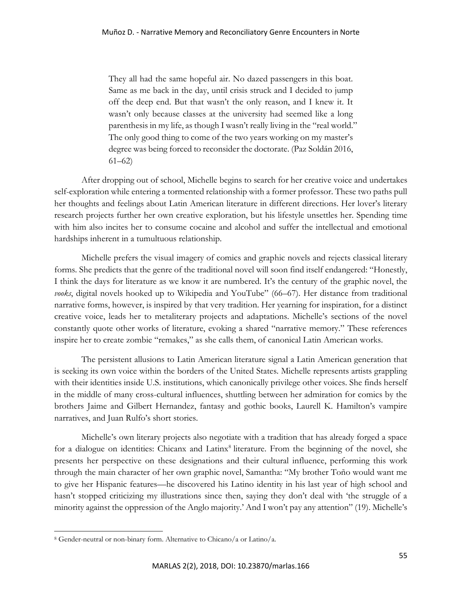They all had the same hopeful air. No dazed passengers in this boat. Same as me back in the day, until crisis struck and I decided to jump off the deep end. But that wasn't the only reason, and I knew it. It wasn't only because classes at the university had seemed like a long parenthesis in my life, as though I wasn't really living in the "real world." The only good thing to come of the two years working on my master's degree was being forced to reconsider the doctorate. (Paz Soldán 2016, 61–62)

After dropping out of school, Michelle begins to search for her creative voice and undertakes self-exploration while entering a tormented relationship with a former professor. These two paths pull her thoughts and feelings about Latin American literature in different directions. Her lover's literary research projects further her own creative exploration, but his lifestyle unsettles her. Spending time with him also incites her to consume cocaine and alcohol and suffer the intellectual and emotional hardships inherent in a tumultuous relationship.

Michelle prefers the visual imagery of comics and graphic novels and rejects classical literary forms. She predicts that the genre of the traditional novel will soon find itself endangered: "Honestly, I think the days for literature as we know it are numbered. It's the century of the graphic novel, the *vooks*, digital novels hooked up to Wikipedia and YouTube" (66–67). Her distance from traditional narrative forms, however, is inspired by that very tradition. Her yearning for inspiration, for a distinct creative voice, leads her to metaliterary projects and adaptations. Michelle's sections of the novel constantly quote other works of literature, evoking a shared "narrative memory." These references inspire her to create zombie "remakes," as she calls them, of canonical Latin American works.

The persistent allusions to Latin American literature signal a Latin American generation that is seeking its own voice within the borders of the United States. Michelle represents artists grappling with their identities inside U.S. institutions, which canonically privilege other voices. She finds herself in the middle of many cross-cultural influences, shuttling between her admiration for comics by the brothers Jaime and Gilbert Hernandez, fantasy and gothic books, Laurell K. Hamilton's vampire narratives, and Juan Rulfo's short stories.

Michelle's own literary projects also negotiate with a tradition that has already forged a space for a dialogue on identities: Chicanx and Latinx<sup>8</sup> literature. From the beginning of the novel, she presents her perspective on these designations and their cultural influence, performing this work through the main character of her own graphic novel, Samantha: "My brother Toño would want me to give her Hispanic features—he discovered his Latino identity in his last year of high school and hasn't stopped criticizing my illustrations since then, saying they don't deal with 'the struggle of a minority against the oppression of the Anglo majority.' And I won't pay any attention" (19). Michelle's

<sup>8</sup> Gender-neutral or non-binary form. Alternative to Chicano/a or Latino/a.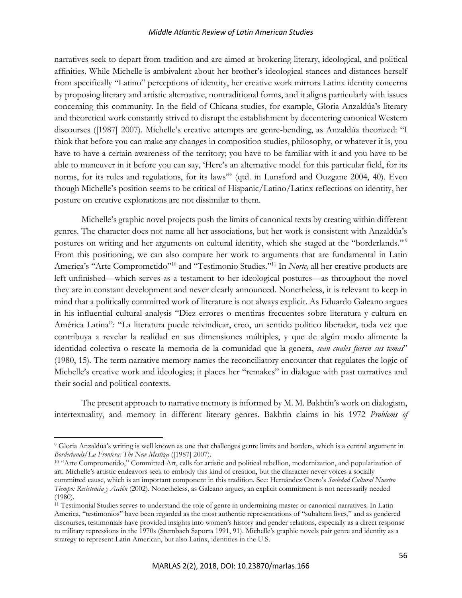narratives seek to depart from tradition and are aimed at brokering literary, ideological, and political affinities. While Michelle is ambivalent about her brother's ideological stances and distances herself from specifically "Latino" perceptions of identity, her creative work mirrors Latinx identity concerns by proposing literary and artistic alternative, nontraditional forms, and it aligns particularly with issues concerning this community. In the field of Chicana studies, for example, Gloria Anzaldúa's literary and theoretical work constantly strived to disrupt the establishment by decentering canonical Western discourses ([1987] 2007). Michelle's creative attempts are genre-bending, as Anzaldúa theorized: "I think that before you can make any changes in composition studies, philosophy, or whatever it is, you have to have a certain awareness of the territory; you have to be familiar with it and you have to be able to maneuver in it before you can say, 'Here's an alternative model for this particular field, for its norms, for its rules and regulations, for its laws'" (qtd. in Lunsford and Ouzgane 2004, 40). Even though Michelle's position seems to be critical of Hispanic/Latino/Latinx reflections on identity, her posture on creative explorations are not dissimilar to them.

Michelle's graphic novel projects push the limits of canonical texts by creating within different genres. The character does not name all her associations, but her work is consistent with Anzaldúa's postures on writing and her arguments on cultural identity, which she staged at the "borderlands."<sup>9</sup> From this positioning, we can also compare her work to arguments that are fundamental in Latin America's "Arte Comprometido"<sup>10</sup> and "Testimonio Studies."<sup>11</sup> In *Norte,* all her creative products are left unfinished—which serves as a testament to her ideological postures—as throughout the novel they are in constant development and never clearly announced. Nonetheless, it is relevant to keep in mind that a politically committed work of literature is not always explicit. As Eduardo Galeano argues in his influential cultural analysis "Diez errores o mentiras frecuentes sobre literatura y cultura en América Latina": "La literatura puede reivindicar, creo, un sentido político liberador, toda vez que contribuya a revelar la realidad en sus dimensiones múltiples, y que de algún modo alimente la identidad colectiva o rescate la memoria de la comunidad que la genera, *sean cuales fueren sus temas*" (1980, 15)*.* The term narrative memory names the reconciliatory encounter that regulates the logic of Michelle's creative work and ideologies; it places her "remakes" in dialogue with past narratives and their social and political contexts.

The present approach to narrative memory is informed by M. M. Bakhtin's work on dialogism, intertextuality, and memory in different literary genres. Bakhtin claims in his 1972 *Problems of* 

<sup>9</sup> Gloria Anzaldúa's writing is well known as one that challenges genre limits and borders, which is a central argument in *Borderlands/La Frontera: The New Mestiza* ([1987] 2007)*.* 

<sup>&</sup>lt;sup>10</sup> "Arte Comprometido," Committed Art, calls for artistic and political rebellion, modernization, and popularization of art. Michelle's artistic endeavors seek to embody this kind of creation, but the character never voices a socially committed cause, which is an important component in this tradition. See: Hernández Otero's *Sociedad Cultural Nuestro Tiempo: Resistencia y Acción* (2002)*.* Nonetheless, as Galeano argues, an explicit commitment is not necessarily needed (1980).

<sup>11</sup> Testimonial Studies serves to understand the role of genre in undermining master or canonical narratives. In Latin America, "testimonios" have been regarded as the most authentic representations of "subaltern lives," and as gendered discourses, testimonials have provided insights into women's history and gender relations, especially as a direct response to military repressions in the 1970s (Sternbach Saporta 1991, 91). Michelle's graphic novels pair genre and identity as a strategy to represent Latin American, but also Latinx, identities in the U.S.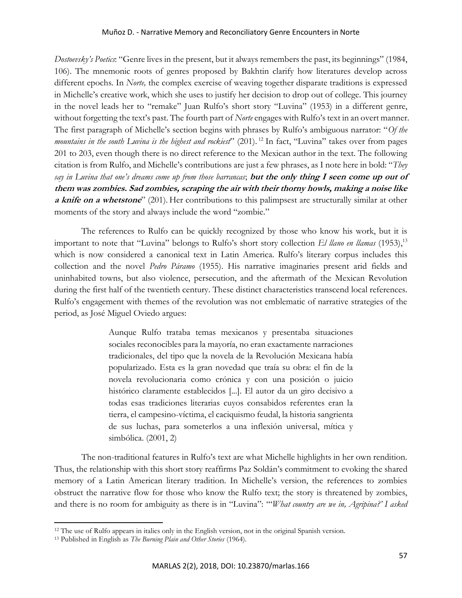*Dostoevsky's Poetics*: "Genre lives in the present, but it always remembers the past, its beginnings" (1984, 106). The mnemonic roots of genres proposed by Bakhtin clarify how literatures develop across different epochs. In *Norte,* the complex exercise of weaving together disparate traditions is expressed in Michelle's creative work, which she uses to justify her decision to drop out of college. This journey in the novel leads her to "remake" Juan Rulfo's short story "Luvina" (1953) in a different genre, without forgetting the text's past. The fourth part of *Norte* engages with Rulfo's text in an overt manner. The first paragraph of Michelle's section begins with phrases by Rulfo's ambiguous narrator: "*Of the mountains in the south Luvina is the highest and rockiest*" (201). <sup>12</sup> In fact, "Luvina" takes over from pages 201 to 203, even though there is no direct reference to the Mexican author in the text. The following citation is from Rulfo, and Michelle's contributions are just a few phrases, as I note here in bold: "*They say in Luvina that one's dreams come up from those barrancas*; **but the only thing I seen come up out of them was zombies. Sad zombies, scraping the air with their thorny howls, making a noise like a knife on a whetstone**" (201). Her contributions to this palimpsest are structurally similar at other moments of the story and always include the word "zombie."

The references to Rulfo can be quickly recognized by those who know his work, but it is important to note that "Luvina" belongs to Rulfo's short story collection *El llano en llamas* (1953),<sup>13</sup> which is now considered a canonical text in Latin America. Rulfo's literary corpus includes this collection and the novel *Pedro Páramo* (1955). His narrative imaginaries present arid fields and uninhabited towns, but also violence, persecution, and the aftermath of the Mexican Revolution during the first half of the twentieth century. These distinct characteristics transcend local references. Rulfo's engagement with themes of the revolution was not emblematic of narrative strategies of the period, as José Miguel Oviedo argues:

> Aunque Rulfo trataba temas mexicanos y presentaba situaciones sociales reconocibles para la mayoría, no eran exactamente narraciones tradicionales, del tipo que la novela de la Revolución Mexicana había popularizado. Esta es la gran novedad que traía su obra: el fin de la novela revolucionaria como crónica y con una posición o juicio histórico claramente establecidos [...]. El autor da un giro decisivo a todas esas tradiciones literarias cuyos consabidos referentes eran la tierra, el campesino-víctima, el caciquismo feudal, la historia sangrienta de sus luchas, para someterlos a una inflexión universal, mítica y simbólica. (2001, 2)

The non-traditional features in Rulfo's text are what Michelle highlights in her own rendition. Thus, the relationship with this short story reaffirms Paz Soldán's commitment to evoking the shared memory of a Latin American literary tradition. In Michelle's version, the references to zombies obstruct the narrative flow for those who know the Rulfo text; the story is threatened by zombies, and there is no room for ambiguity as there is in "Luvina": "'*What country are we in, Agripina?' I asked* 

<sup>&</sup>lt;sup>12</sup> The use of Rulfo appears in italics only in the English version, not in the original Spanish version.

<sup>13</sup> Published in English as *The Burning Plain and Other Stories* (1964).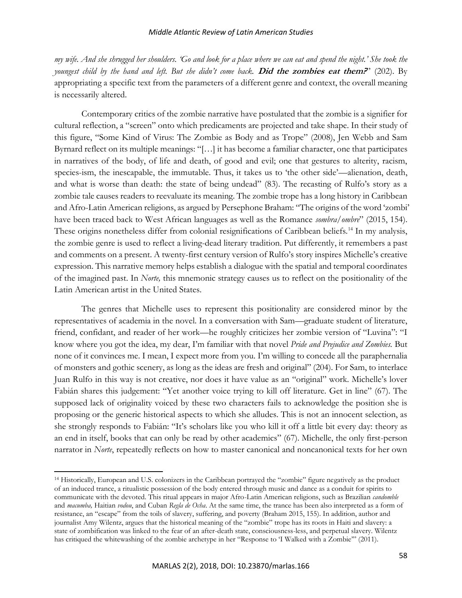*my wife. And she shrugged her shoulders. 'Go and look for a place where we can eat and spend the night.' She took the youngest child by the hand and left. But she didn't come back.* **Did the zombies eat them?**" (202). By appropriating a specific text from the parameters of a different genre and context, the overall meaning is necessarily altered.

Contemporary critics of the zombie narrative have postulated that the zombie is a signifier for cultural reflection, a "screen" onto which predicaments are projected and take shape. In their study of this figure, "Some Kind of Virus: The Zombie as Body and as Trope" (2008), Jen Webb and Sam Byrnard reflect on its multiple meanings: "[…] it has become a familiar character, one that participates in narratives of the body, of life and death, of good and evil; one that gestures to alterity, racism, species-ism, the inescapable, the immutable. Thus, it takes us to 'the other side'—alienation, death, and what is worse than death: the state of being undead" (83). The recasting of Rulfo's story as a zombie tale causes readers to reevaluate its meaning. The zombie trope has a long history in Caribbean and Afro-Latin American religions, as argued by Persephone Braham: "The origins of the word 'zombi' have been traced back to West African languages as well as the Romance *sombra/ombre*" (2015, 154). These origins nonetheless differ from colonial resignifications of Caribbean beliefs.<sup>14</sup> In my analysis, the zombie genre is used to reflect a living-dead literary tradition. Put differently, it remembers a past and comments on a present. A twenty-first century version of Rulfo's story inspires Michelle's creative expression. This narrative memory helps establish a dialogue with the spatial and temporal coordinates of the imagined past. In *Norte,* this mnemonic strategy causes us to reflect on the positionality of the Latin American artist in the United States.

The genres that Michelle uses to represent this positionality are considered minor by the representatives of academia in the novel. In a conversation with Sam—graduate student of literature, friend, confidant, and reader of her work—he roughly criticizes her zombie version of "Luvina": "I know where you got the idea, my dear, I'm familiar with that novel *Pride and Prejudice and Zombies.* But none of it convinces me. I mean, I expect more from you. I'm willing to concede all the paraphernalia of monsters and gothic scenery, as long as the ideas are fresh and original" (204). For Sam, to interlace Juan Rulfo in this way is not creative, nor does it have value as an "original" work. Michelle's lover Fabián shares this judgement: "Yet another voice trying to kill off literature. Get in line" (67). The supposed lack of originality voiced by these two characters fails to acknowledge the position she is proposing or the generic historical aspects to which she alludes. This is not an innocent selection, as she strongly responds to Fabián: "It's scholars like you who kill it off a little bit every day: theory as an end in itself, books that can only be read by other academics" (67). Michelle, the only first-person narrator in *Norte*, repeatedly reflects on how to master canonical and noncanonical texts for her own

<sup>14</sup> Historically, European and U.S. colonizers in the Caribbean portrayed the "zombie" figure negatively as the product of an induced trance, a ritualistic possession of the body entered through music and dance as a conduit for spirits to communicate with the devoted. This ritual appears in major Afro-Latin American religions, such as Brazilian *candomble*  and *macumba,* Haitian *vodou*, and Cuban *Regla de Ocha*. At the same time, the trance has been also interpreted as a form of resistance, an "escape" from the toils of slavery, suffering, and poverty (Braham 2015, 155). In addition, author and journalist Amy Wilentz, argues that the historical meaning of the "zombie" trope has its roots in Haiti and slavery: a state of zombification was linked to the fear of an after-death state, consciousness-less, and perpetual slavery. Wilentz has critiqued the whitewashing of the zombie archetype in her "Response to 'I Walked with a Zombie'" (2011).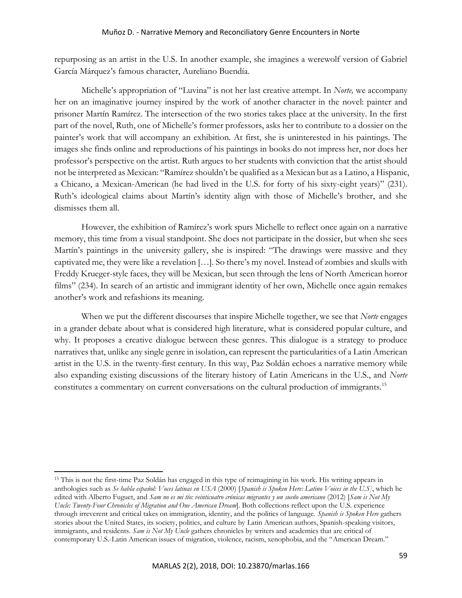repurposing as an artist in the U.S. In another example, she imagines a werewolf version of Gabriel García Márquez's famous character, Aureliano Buendía.

Michelle's appropriation of "Luvina" is not her last creative attempt. In *Norte,* we accompany her on an imaginative journey inspired by the work of another character in the novel: painter and prisoner Martín Ramírez. The intersection of the two stories takes place at the university. In the first part of the novel, Ruth, one of Michelle's former professors, asks her to contribute to a dossier on the painter's work that will accompany an exhibition. At first, she is uninterested in his paintings. The images she finds online and reproductions of his paintings in books do not impress her, nor does her professor's perspective on the artist. Ruth argues to her students with conviction that the artist should not be interpreted as Mexican: "Ramírez shouldn't be qualified as a Mexican but as a Latino, a Hispanic, a Chicano, a Mexican-American (he had lived in the U.S. for forty of his sixty-eight years)" (231). Ruth's ideological claims about Martín's identity align with those of Michelle's brother, and she dismisses them all.

However, the exhibition of Ramírez's work spurs Michelle to reflect once again on a narrative memory, this time from a visual standpoint. She does not participate in the dossier, but when she sees Martín's paintings in the university gallery, she is inspired: "The drawings were massive and they captivated me, they were like a revelation […]. So there's my novel. Instead of zombies and skulls with Freddy Krueger-style faces, they will be Mexican, but seen through the lens of North American horror films" (234). In search of an artistic and immigrant identity of her own, Michelle once again remakes another's work and refashions its meaning.

When we put the different discourses that inspire Michelle together, we see that *Norte* engages in a grander debate about what is considered high literature, what is considered popular culture, and why. It proposes a creative dialogue between these genres. This dialogue is a strategy to produce narratives that, unlike any single genre in isolation, can represent the particularities of a Latin American artist in the U.S. in the twenty-first century. In this way, Paz Soldán echoes a narrative memory while also expanding existing discussions of the literary history of Latin Americans in the U.S., and *Norte*  constitutes a commentary on current conversations on the cultural production of immigrants.<sup>15</sup>

<sup>15</sup> This is not the first-time Paz Soldán has engaged in this type of reimagining in his work. His writing appears in anthologies such as *Se habla español: Voces latinas en USA* (2000) [*Spanish is Spoken Here: Latino Voices in the U.S]*, which he edited with Alberto Fuguet, and *Sam no es mi tío: veinticuatro crónicas migrantes y un sueño americano* (2012) [*Sam is Not My Uncle: Twenty-Four Chronicles of Migration and One American Dream*]. Both collections reflect upon the U.S. experience through irreverent and critical takes on immigration, identity, and the politics of language. *Spanish is Spoken Here* gathers stories about the United States, its society, politics, and culture by Latin American authors, Spanish-speaking visitors, immigrants, and residents. *Sam is Not My Uncle* gathers chronicles by writers and academics that are critical of contemporary U.S.-Latin American issues of migration, violence, racism, xenophobia, and the "American Dream."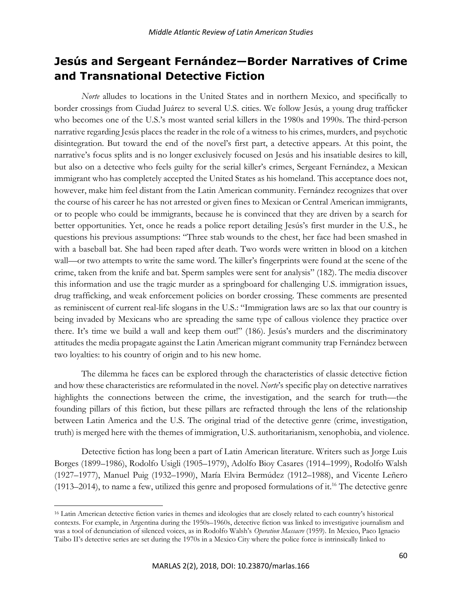## **Jesús and Sergeant Fernández—Border Narratives of Crime and Transnational Detective Fiction**

*Norte* alludes to locations in the United States and in northern Mexico, and specifically to border crossings from Ciudad Juárez to several U.S. cities. We follow Jesús, a young drug trafficker who becomes one of the U.S.'s most wanted serial killers in the 1980s and 1990s. The third-person narrative regarding Jesús places the reader in the role of a witness to his crimes, murders, and psychotic disintegration. But toward the end of the novel's first part, a detective appears. At this point, the narrative's focus splits and is no longer exclusively focused on Jesús and his insatiable desires to kill, but also on a detective who feels guilty for the serial killer's crimes, Sergeant Fernández, a Mexican immigrant who has completely accepted the United States as his homeland. This acceptance does not, however, make him feel distant from the Latin American community. Fernández recognizes that over the course of his career he has not arrested or given fines to Mexican or Central American immigrants, or to people who could be immigrants, because he is convinced that they are driven by a search for better opportunities. Yet, once he reads a police report detailing Jesús's first murder in the U.S., he questions his previous assumptions: "Three stab wounds to the chest, her face had been smashed in with a baseball bat. She had been raped after death. Two words were written in blood on a kitchen wall—or two attempts to write the same word. The killer's fingerprints were found at the scene of the crime, taken from the knife and bat. Sperm samples were sent for analysis" (182). The media discover this information and use the tragic murder as a springboard for challenging U.S. immigration issues, drug trafficking, and weak enforcement policies on border crossing. These comments are presented as reminiscent of current real-life slogans in the U.S.: "Immigration laws are so lax that our country is being invaded by Mexicans who are spreading the same type of callous violence they practice over there. It's time we build a wall and keep them out!" (186). Jesús's murders and the discriminatory attitudes the media propagate against the Latin American migrant community trap Fernández between two loyalties: to his country of origin and to his new home.

The dilemma he faces can be explored through the characteristics of classic detective fiction and how these characteristics are reformulated in the novel. *Norte*'s specific play on detective narratives highlights the connections between the crime, the investigation, and the search for truth—the founding pillars of this fiction, but these pillars are refracted through the lens of the relationship between Latin America and the U.S. The original triad of the detective genre (crime, investigation, truth) is merged here with the themes of immigration, U.S. authoritarianism, xenophobia, and violence.

Detective fiction has long been a part of Latin American literature. Writers such as Jorge Luis Borges (1899–1986), Rodolfo Usigli (1905–1979), Adolfo Bioy Casares (1914–1999), Rodolfo Walsh (1927–1977), Manuel Puig (1932–1990), María Elvira Bermúdez (1912–1988), and Vicente Leñero (1913–2014), to name a few, utilized this genre and proposed formulations of it. <sup>16</sup> The detective genre

<sup>16</sup> Latin American detective fiction varies in themes and ideologies that are closely related to each country's historical contexts. For example, in Argentina during the 1950s–1960s, detective fiction was linked to investigative journalism and was a tool of denunciation of silenced voices, as in Rodolfo Walsh's *Operation Massacre* (1959). In Mexico, Paco Ignacio Taibo II's detective series are set during the 1970s in a Mexico City where the police force is intrinsically linked to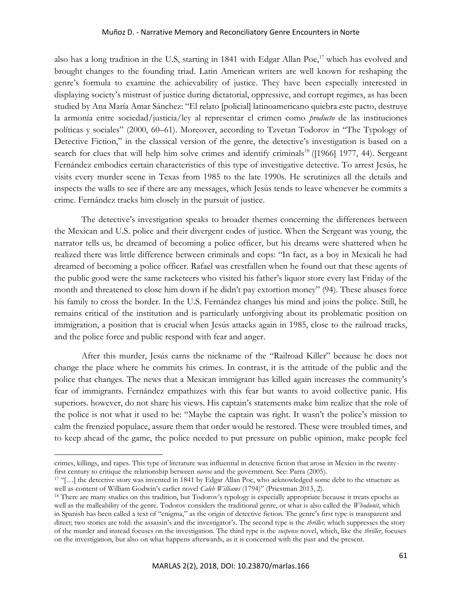also has a long tradition in the U.S, starting in 1841 with Edgar Allan Poe,<sup>17</sup> which has evolved and brought changes to the founding triad. Latin American writers are well known for reshaping the genre's formula to examine the achievability of justice. They have been especially interested in displaying society's mistrust of justice during dictatorial, oppressive, and corrupt regimes, as has been studied by Ana María Amar Sánchez: "El relato [policial] latinoamericano quiebra este pacto, destruye la armonía entre sociedad/justicia/ley al representar el crimen como *producto* de las instituciones políticas y sociales" (2000, 60–61). Moreover, according to Tzvetan Todorov in "The Typology of Detective Fiction," in the classical version of the genre, the detective's investigation is based on a search for clues that will help him solve crimes and identify criminals<sup>18</sup> ([1966] 1977, 44). Sergeant Fernández embodies certain characteristics of this type of investigative detective. To arrest Jesús, he visits every murder scene in Texas from 1985 to the late 1990s. He scrutinizes all the details and inspects the walls to see if there are any messages, which Jesús tends to leave whenever he commits a crime. Fernández tracks him closely in the pursuit of justice.

The detective's investigation speaks to broader themes concerning the differences between the Mexican and U.S. police and their divergent codes of justice. When the Sergeant was young, the narrator tells us, he dreamed of becoming a police officer, but his dreams were shattered when he realized there was little difference between criminals and cops: "In fact, as a boy in Mexicali he had dreamed of becoming a police officer. Rafael was crestfallen when he found out that these agents of the public good were the same racketeers who visited his father's liquor store every last Friday of the month and threatened to close him down if he didn't pay extortion money" (94). These abuses force his family to cross the border. In the U.S. Fernández changes his mind and joins the police. Still, he remains critical of the institution and is particularly unforgiving about its problematic position on immigration, a position that is crucial when Jesús attacks again in 1985, close to the railroad tracks, and the police force and public respond with fear and anger.

After this murder, Jesús earns the nickname of the "Railroad Killer" because he does not change the place where he commits his crimes. In contrast, it is the attitude of the public and the police that changes. The news that a Mexican immigrant has killed again increases the community's fear of immigrants. Fernández empathizes with this fear but wants to avoid collective panic. His superiors. however, do not share his views. His captain's statements make him realize that the role of the police is not what it used to be: "Maybe the captain was right. It wasn't the police's mission to calm the frenzied populace, assure them that order would be restored. These were troubled times, and to keep ahead of the game, the police needed to put pressure on public opinion, make people feel

crimes, killings, and rapes. This type of literature was influential in detective fiction that arose in Mexico in the twentyfirst century to critique the relationship between *narcos* and the government. See: Parra (2005).

<sup>17</sup> "[…] the detective story was invented in 1841 by Edgar Allan Poe, who acknowledged some debt to the structure as well as content of William Godwin's earlier novel *Caleb Williams* (1794)" (Priestman 2013, 2).

<sup>&</sup>lt;sup>18</sup> There are many studies on this tradition, but Todorov's typology is especially appropriate because it treats epochs as well as the malleability of the genre. Todorov considers the traditional genre, or what is also called the *Whodunit*, which in Spanish has been called a text of "enigma," as the origin of detective fiction. The genre's first type is transparent and direct; two stories are told: the assassin's and the investigator's. The second type is the *thriller,* which suppresses the story of the murder and instead focuses on the investigation. The third type is the *suspense* novel, which, like the *thriller*, focuses on the investigation, but also on what happens afterwards, as it is concerned with the past and the present.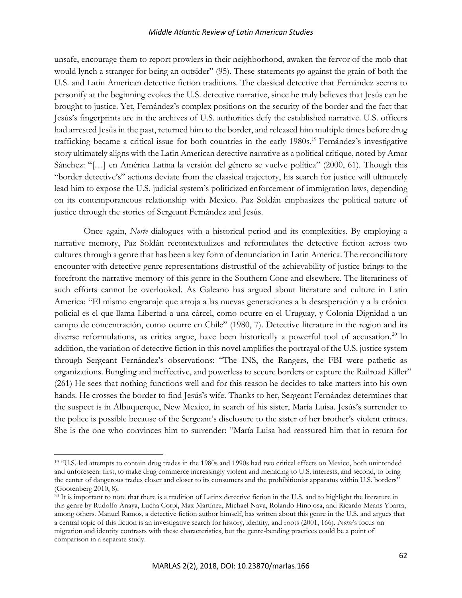unsafe, encourage them to report prowlers in their neighborhood, awaken the fervor of the mob that would lynch a stranger for being an outsider" (95). These statements go against the grain of both the U.S. and Latin American detective fiction traditions. The classical detective that Fernández seems to personify at the beginning evokes the U.S. detective narrative, since he truly believes that Jesús can be brought to justice. Yet, Fernández's complex positions on the security of the border and the fact that Jesús's fingerprints are in the archives of U.S. authorities defy the established narrative. U.S. officers had arrested Jesús in the past, returned him to the border, and released him multiple times before drug trafficking became a critical issue for both countries in the early 1980s.<sup>19</sup> Fernández's investigative story ultimately aligns with the Latin American detective narrative as a political critique, noted by Amar Sánchez: "[…] en América Latina la versión del género se vuelve política" (2000, 61). Though this "border detective's" actions deviate from the classical trajectory, his search for justice will ultimately lead him to expose the U.S. judicial system's politicized enforcement of immigration laws, depending on its contemporaneous relationship with Mexico. Paz Soldán emphasizes the political nature of justice through the stories of Sergeant Fernández and Jesús.

Once again, *Norte* dialogues with a historical period and its complexities. By employing a narrative memory, Paz Soldán recontextualizes and reformulates the detective fiction across two cultures through a genre that has been a key form of denunciation in Latin America. The reconciliatory encounter with detective genre representations distrustful of the achievability of justice brings to the forefront the narrative memory of this genre in the Southern Cone and elsewhere. The literariness of such efforts cannot be overlooked. As Galeano has argued about literature and culture in Latin America: "El mismo engranaje que arroja a las nuevas generaciones a la desesperación y a la crónica policial es el que llama Libertad a una cárcel, como ocurre en el Uruguay, y Colonia Dignidad a un campo de concentración, como ocurre en Chile" (1980, 7). Detective literature in the region and its diverse reformulations, as critics argue, have been historically a powerful tool of accusation.<sup>20</sup> In addition, the variation of detective fiction in this novel amplifies the portrayal of the U.S. justice system through Sergeant Fernández's observations: "The INS, the Rangers, the FBI were pathetic as organizations. Bungling and ineffective, and powerless to secure borders or capture the Railroad Killer" (261) He sees that nothing functions well and for this reason he decides to take matters into his own hands. He crosses the border to find Jesús's wife. Thanks to her, Sergeant Fernández determines that the suspect is in Albuquerque, New Mexico, in search of his sister, María Luisa. Jesús's surrender to the police is possible because of the Sergeant's disclosure to the sister of her brother's violent crimes. She is the one who convinces him to surrender: "María Luisa had reassured him that in return for

<sup>19</sup> "U.S.-led attempts to contain drug trades in the 1980s and 1990s had two critical effects on Mexico, both unintended and unforeseen: first, to make drug commerce increasingly violent and menacing to U.S. interests, and second, to bring the center of dangerous trades closer and closer to its consumers and the prohibitionist apparatus within U.S. borders" (Gootenberg 2010, 8).

<sup>&</sup>lt;sup>20</sup> It is important to note that there is a tradition of Latinx detective fiction in the U.S. and to highlight the literature in this genre by Rudolfo Anaya, Lucha Corpi, Max Martínez, Michael Nava, Rolando Hinojosa, and Ricardo Means Ybarra, among others. Manuel Ramos, a detective fiction author himself, has written about this genre in the U.S. and argues that a central topic of this fiction is an investigative search for history, identity, and roots (2001, 166). *Norte*'s focus on migration and identity contrasts with these characteristics, but the genre-bending practices could be a point of comparison in a separate study.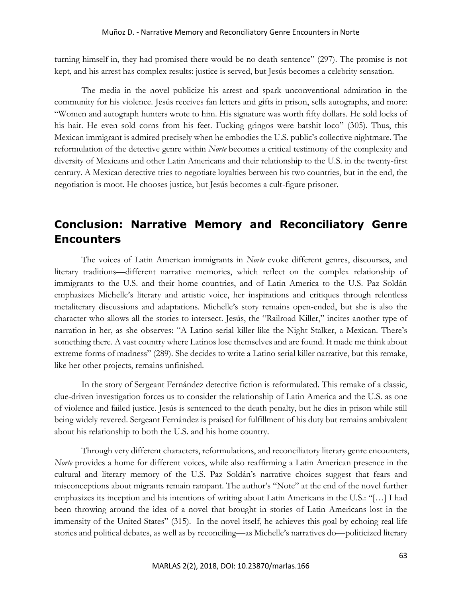turning himself in, they had promised there would be no death sentence" (297). The promise is not kept, and his arrest has complex results: justice is served, but Jesús becomes a celebrity sensation.

The media in the novel publicize his arrest and spark unconventional admiration in the community for his violence. Jesús receives fan letters and gifts in prison, sells autographs, and more: "Women and autograph hunters wrote to him. His signature was worth fifty dollars. He sold locks of his hair. He even sold corns from his feet. Fucking gringos were batshit loco" (305). Thus, this Mexican immigrant is admired precisely when he embodies the U.S. public's collective nightmare. The reformulation of the detective genre within *Norte* becomes a critical testimony of the complexity and diversity of Mexicans and other Latin Americans and their relationship to the U.S. in the twenty-first century. A Mexican detective tries to negotiate loyalties between his two countries, but in the end, the negotiation is moot. He chooses justice, but Jesús becomes a cult-figure prisoner.

### **Conclusion: Narrative Memory and Reconciliatory Genre Encounters**

The voices of Latin American immigrants in *Norte* evoke different genres, discourses, and literary traditions—different narrative memories, which reflect on the complex relationship of immigrants to the U.S. and their home countries, and of Latin America to the U.S. Paz Soldán emphasizes Michelle's literary and artistic voice, her inspirations and critiques through relentless metaliterary discussions and adaptations. Michelle's story remains open-ended, but she is also the character who allows all the stories to intersect. Jesús, the "Railroad Killer," incites another type of narration in her, as she observes: "A Latino serial killer like the Night Stalker, a Mexican. There's something there. A vast country where Latinos lose themselves and are found. It made me think about extreme forms of madness" (289). She decides to write a Latino serial killer narrative, but this remake, like her other projects, remains unfinished.

In the story of Sergeant Fernández detective fiction is reformulated. This remake of a classic, clue-driven investigation forces us to consider the relationship of Latin America and the U.S. as one of violence and failed justice. Jesús is sentenced to the death penalty, but he dies in prison while still being widely revered. Sergeant Fernández is praised for fulfillment of his duty but remains ambivalent about his relationship to both the U.S. and his home country.

Through very different characters, reformulations, and reconciliatory literary genre encounters, *Norte* provides a home for different voices, while also reaffirming a Latin American presence in the cultural and literary memory of the U.S. Paz Soldán's narrative choices suggest that fears and misconceptions about migrants remain rampant. The author's "Note" at the end of the novel further emphasizes its inception and his intentions of writing about Latin Americans in the U.S.: "[…] I had been throwing around the idea of a novel that brought in stories of Latin Americans lost in the immensity of the United States" (315). In the novel itself, he achieves this goal by echoing real-life stories and political debates, as well as by reconciling—as Michelle's narratives do—politicized literary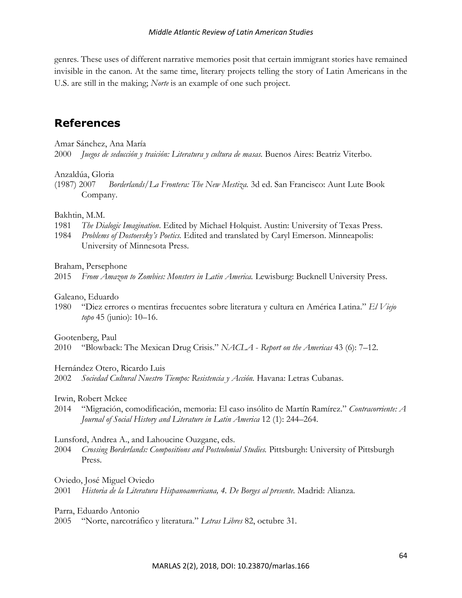genres. These uses of different narrative memories posit that certain immigrant stories have remained invisible in the canon. At the same time, literary projects telling the story of Latin Americans in the U.S. are still in the making; *Norte* is an example of one such project.

### **References**

#### Amar Sánchez, Ana María

2000 *Juegos de seducción y traición: Literatura y cultura de masas.* Buenos Aires: Beatriz Viterbo.

#### Anzaldúa, Gloria

(1987) 2007 *Borderlands/La Frontera: The New Mestiza.* 3d ed. San Francisco: Aunt Lute Book Company.

#### Bakhtin, M.M.

- 1981 *The Dialogic Imagination*. Edited by Michael Holquist. Austin: University of Texas Press.
- 1984 *Problems of Dostoevsky's Poetics.* Edited and translated by Caryl Emerson. Minneapolis: University of Minnesota Press.

#### Braham, Persephone

2015 *From Amazon to Zombies: Monsters in Latin America.* Lewisburg: Bucknell University Press.

#### Galeano, Eduardo

1980 "Diez errores o mentiras frecuentes sobre literatura y cultura en América Latina." *El Viejo topo* 45 (junio): 10–16.

#### Gootenberg, Paul

2010 "Blowback: The Mexican Drug Crisis." *NACLA* - *Report on the Americas* 43 (6): 7–12.

#### Hernández Otero, Ricardo Luis

2002 *Sociedad Cultural Nuestro Tiempo: Resistencia y Acción.* Havana: Letras Cubanas.

#### Irwin, Robert Mckee

2014 "Migración, comodificación, memoria: El caso insólito de Martín Ramírez." *Contracorriente: A Journal of Social History and Literature in Latin America* 12 (1): 244–264.

#### Lunsford, Andrea A., and Lahoucine Ouzgane, eds.

2004 *Crossing Borderlands: Compositions and Postcolonial Studies.* Pittsburgh: University of Pittsburgh Press.

#### Oviedo, José Miguel Oviedo

2001 *Historia de la Literatura Hispanoamericana, 4. De Borges al presente.* Madrid: Alianza.

#### Parra, Eduardo Antonio

2005 "Norte, narcotráfico y literatura." *Letras Libres* 82, octubre 31*.*